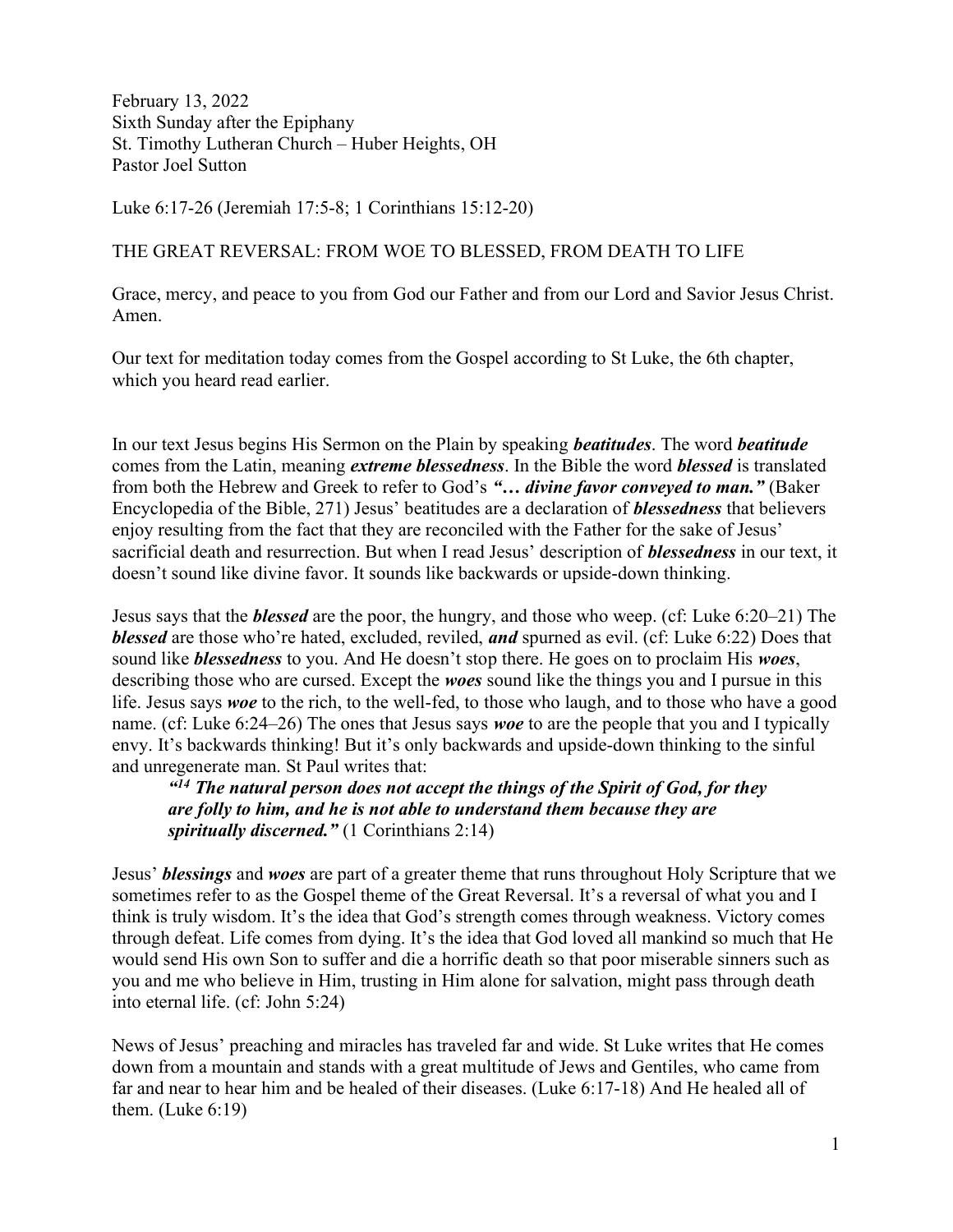February 13, 2022 Sixth Sunday after the Epiphany St. Timothy Lutheran Church – Huber Heights, OH Pastor Joel Sutton

Luke 6:17-26 (Jeremiah 17:5-8; 1 Corinthians 15:12-20)

## THE GREAT REVERSAL: FROM WOE TO BLESSED, FROM DEATH TO LIFE

Grace, mercy, and peace to you from God our Father and from our Lord and Savior Jesus Christ. Amen.

Our text for meditation today comes from the Gospel according to St Luke, the 6th chapter, which you heard read earlier.

In our text Jesus begins His Sermon on the Plain by speaking *beatitudes*. The word *beatitude* comes from the Latin, meaning *extreme blessedness*. In the Bible the word *blessed* is translated from both the Hebrew and Greek to refer to God's "... divine favor conveyed to man." (Baker Encyclopedia of the Bible, 271) Jesus' beatitudes are a declaration of blessedness that believers enjoy resulting from the fact that they are reconciled with the Father for the sake of Jesus' sacrificial death and resurrection. But when I read Jesus' description of **blessedness** in our text, it doesn't sound like divine favor. It sounds like backwards or upside-down thinking.

Jesus says that the blessed are the poor, the hungry, and those who weep. (cf: Luke 6:20–21) The blessed are those who're hated, excluded, reviled, and spurned as evil. (cf: Luke 6:22) Does that sound like *blessedness* to you. And He doesn't stop there. He goes on to proclaim His woes, describing those who are cursed. Except the *woes* sound like the things you and I pursue in this life. Jesus says woe to the rich, to the well-fed, to those who laugh, and to those who have a good name. (cf: Luke 6:24–26) The ones that Jesus says woe to are the people that you and I typically envy. It's backwards thinking! But it's only backwards and upside-down thinking to the sinful and unregenerate man. St Paul writes that:

 $14$  The natural person does not accept the things of the Spirit of God, for they are folly to him, and he is not able to understand them because they are spiritually discerned." (1 Corinthians 2:14)

Jesus' blessings and woes are part of a greater theme that runs throughout Holy Scripture that we sometimes refer to as the Gospel theme of the Great Reversal. It's a reversal of what you and I think is truly wisdom. It's the idea that God's strength comes through weakness. Victory comes through defeat. Life comes from dying. It's the idea that God loved all mankind so much that He would send His own Son to suffer and die a horrific death so that poor miserable sinners such as you and me who believe in Him, trusting in Him alone for salvation, might pass through death into eternal life. (cf: John 5:24)

News of Jesus' preaching and miracles has traveled far and wide. St Luke writes that He comes down from a mountain and stands with a great multitude of Jews and Gentiles, who came from far and near to hear him and be healed of their diseases. (Luke 6:17-18) And He healed all of them. (Luke 6:19)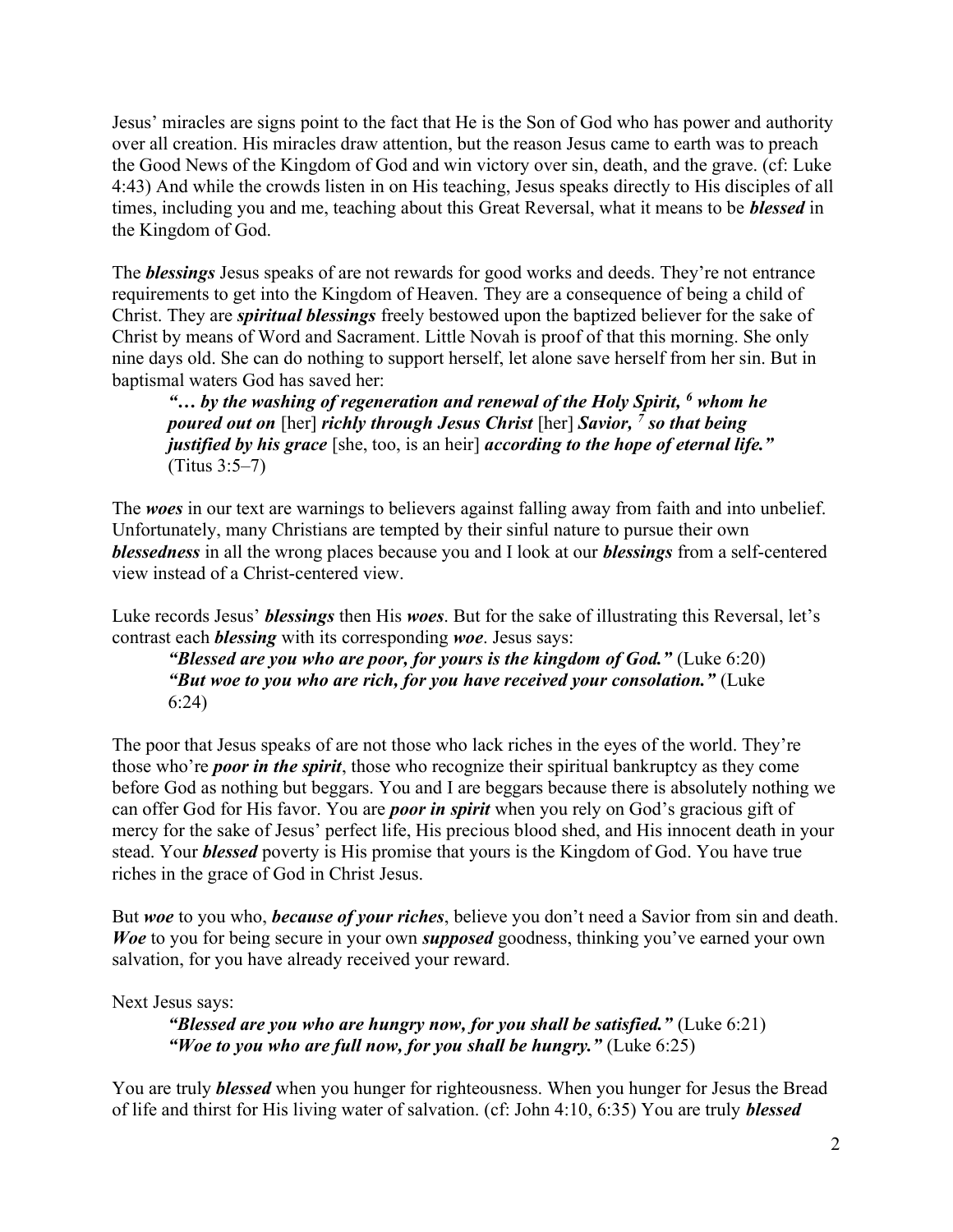Jesus' miracles are signs point to the fact that He is the Son of God who has power and authority over all creation. His miracles draw attention, but the reason Jesus came to earth was to preach the Good News of the Kingdom of God and win victory over sin, death, and the grave. (cf: Luke 4:43) And while the crowds listen in on His teaching, Jesus speaks directly to His disciples of all times, including you and me, teaching about this Great Reversal, what it means to be **blessed** in the Kingdom of God.

The **blessings** Jesus speaks of are not rewards for good works and deeds. They're not entrance requirements to get into the Kingdom of Heaven. They are a consequence of being a child of Christ. They are *spiritual blessings* freely bestowed upon the baptized believer for the sake of Christ by means of Word and Sacrament. Little Novah is proof of that this morning. She only nine days old. She can do nothing to support herself, let alone save herself from her sin. But in baptismal waters God has saved her:

" $\ldots$  by the washing of regeneration and renewal of the Holy Spirit,  $\delta$  whom he poured out on [her] richly through Jesus Christ [her] Savior, <sup>7</sup> so that being justified by his grace [she, too, is an heir] according to the hope of eternal life." (Titus 3:5–7)

The woes in our text are warnings to believers against falling away from faith and into unbelief. Unfortunately, many Christians are tempted by their sinful nature to pursue their own blessedness in all the wrong places because you and I look at our blessings from a self-centered view instead of a Christ-centered view.

Luke records Jesus' *blessings* then His woes. But for the sake of illustrating this Reversal, let's contrast each **blessing** with its corresponding woe. Jesus says:

"Blessed are you who are poor, for yours is the kingdom of God." (Luke  $6:20$ ) "But woe to you who are rich, for you have received your consolation." (Luke 6:24)

The poor that Jesus speaks of are not those who lack riches in the eyes of the world. They're those who're *poor in the spirit*, those who recognize their spiritual bankruptcy as they come before God as nothing but beggars. You and I are beggars because there is absolutely nothing we can offer God for His favor. You are *poor in spirit* when you rely on God's gracious gift of mercy for the sake of Jesus' perfect life, His precious blood shed, and His innocent death in your stead. Your **blessed** poverty is His promise that yours is the Kingdom of God. You have true riches in the grace of God in Christ Jesus.

But woe to you who, *because of your riches*, believe you don't need a Savior from sin and death. Woe to you for being secure in your own supposed goodness, thinking you've earned your own salvation, for you have already received your reward.

Next Jesus says:

"Blessed are you who are hungry now, for you shall be satisfied." (Luke  $6:21$ ) "Woe to you who are full now, for you shall be hungry." (Luke  $6:25$ )

You are truly **blessed** when you hunger for righteousness. When you hunger for Jesus the Bread of life and thirst for His living water of salvation. (cf: John 4:10, 6:35) You are truly blessed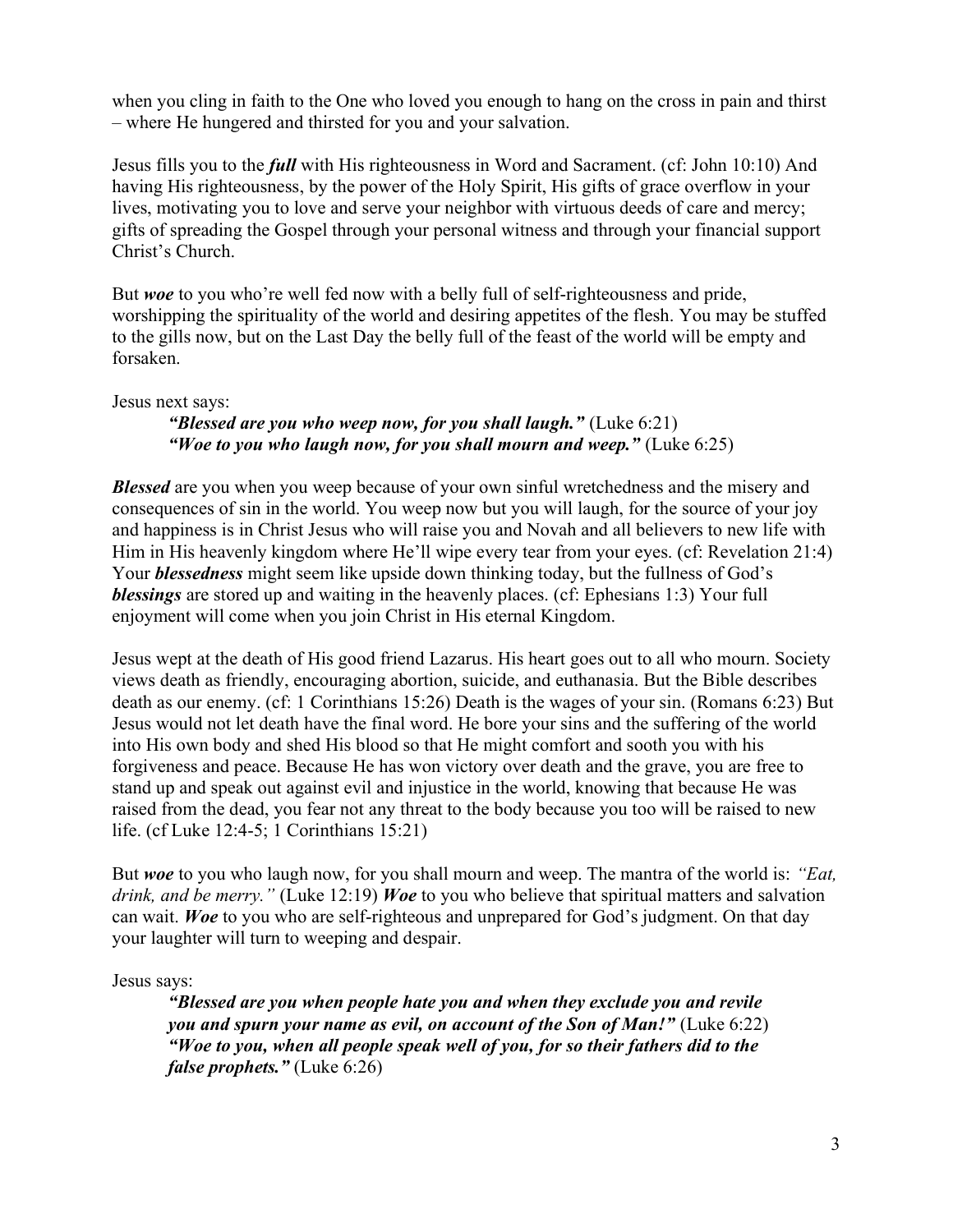when you cling in faith to the One who loved you enough to hang on the cross in pain and thirst – where He hungered and thirsted for you and your salvation.

Jesus fills you to the *full* with His righteousness in Word and Sacrament. (cf: John 10:10) And having His righteousness, by the power of the Holy Spirit, His gifts of grace overflow in your lives, motivating you to love and serve your neighbor with virtuous deeds of care and mercy; gifts of spreading the Gospel through your personal witness and through your financial support Christ's Church.

But woe to you who're well fed now with a belly full of self-righteousness and pride, worshipping the spirituality of the world and desiring appetites of the flesh. You may be stuffed to the gills now, but on the Last Day the belly full of the feast of the world will be empty and forsaken.

## Jesus next says:

## "Blessed are you who weep now, for you shall laugh." (Luke  $6:21$ ) "Woe to you who laugh now, for you shall mourn and weep." (Luke  $6:25$ )

**Blessed** are you when you weep because of your own sinful wretchedness and the misery and consequences of sin in the world. You weep now but you will laugh, for the source of your joy and happiness is in Christ Jesus who will raise you and Novah and all believers to new life with Him in His heavenly kingdom where He'll wipe every tear from your eyes. (cf: Revelation 21:4) Your **blessedness** might seem like upside down thinking today, but the fullness of God's blessings are stored up and waiting in the heavenly places. (cf: Ephesians 1:3) Your full enjoyment will come when you join Christ in His eternal Kingdom.

Jesus wept at the death of His good friend Lazarus. His heart goes out to all who mourn. Society views death as friendly, encouraging abortion, suicide, and euthanasia. But the Bible describes death as our enemy. (cf: 1 Corinthians 15:26) Death is the wages of your sin. (Romans 6:23) But Jesus would not let death have the final word. He bore your sins and the suffering of the world into His own body and shed His blood so that He might comfort and sooth you with his forgiveness and peace. Because He has won victory over death and the grave, you are free to stand up and speak out against evil and injustice in the world, knowing that because He was raised from the dead, you fear not any threat to the body because you too will be raised to new life. (cf Luke 12:4-5; 1 Corinthians 15:21)

But woe to you who laugh now, for you shall mourn and weep. The mantra of the world is: "Eat, drink, and be merry." (Luke 12:19) Woe to you who believe that spiritual matters and salvation can wait. Woe to you who are self-righteous and unprepared for God's judgment. On that day your laughter will turn to weeping and despair.

Jesus says:

"Blessed are you when people hate you and when they exclude you and revile you and spurn your name as evil, on account of the Son of Man!" (Luke 6:22) "Woe to you, when all people speak well of you, for so their fathers did to the false prophets." (Luke 6:26)